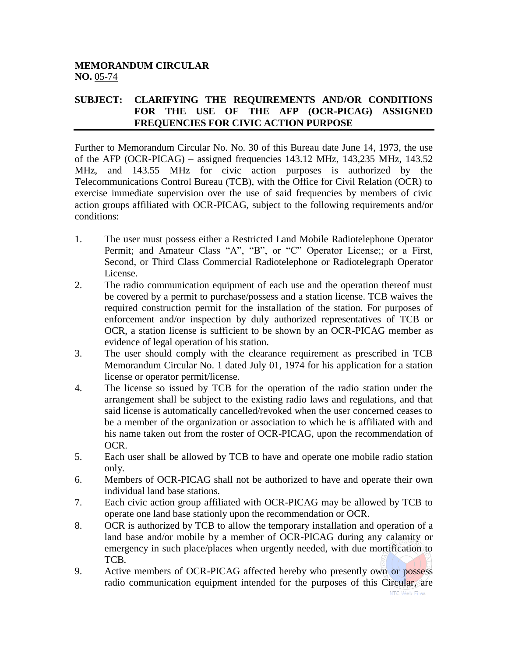## **MEMORANDUM CIRCULAR NO.** 05-74

## **SUBJECT: CLARIFYING THE REQUIREMENTS AND/OR CONDITIONS FOR THE USE OF THE AFP (OCR-PICAG) ASSIGNED FREQUENCIES FOR CIVIC ACTION PURPOSE**

Further to Memorandum Circular No. No. 30 of this Bureau date June 14, 1973, the use of the AFP (OCR-PICAG) – assigned frequencies 143.12 MHz, 143,235 MHz, 143.52 MHz, and 143.55 MHz for civic action purposes is authorized by the Telecommunications Control Bureau (TCB), with the Office for Civil Relation (OCR) to exercise immediate supervision over the use of said frequencies by members of civic action groups affiliated with OCR-PICAG, subject to the following requirements and/or conditions:

- 1. The user must possess either a Restricted Land Mobile Radiotelephone Operator Permit; and Amateur Class "A", "B", or "C" Operator License;; or a First, Second, or Third Class Commercial Radiotelephone or Radiotelegraph Operator License.
- 2. The radio communication equipment of each use and the operation thereof must be covered by a permit to purchase/possess and a station license. TCB waives the required construction permit for the installation of the station. For purposes of enforcement and/or inspection by duly authorized representatives of TCB or OCR, a station license is sufficient to be shown by an OCR-PICAG member as evidence of legal operation of his station.
- 3. The user should comply with the clearance requirement as prescribed in TCB Memorandum Circular No. 1 dated July 01, 1974 for his application for a station license or operator permit/license.
- 4. The license so issued by TCB for the operation of the radio station under the arrangement shall be subject to the existing radio laws and regulations, and that said license is automatically cancelled/revoked when the user concerned ceases to be a member of the organization or association to which he is affiliated with and his name taken out from the roster of OCR-PICAG, upon the recommendation of OCR.
- 5. Each user shall be allowed by TCB to have and operate one mobile radio station only.
- 6. Members of OCR-PICAG shall not be authorized to have and operate their own individual land base stations.
- 7. Each civic action group affiliated with OCR-PICAG may be allowed by TCB to operate one land base stationly upon the recommendation or OCR.
- 8. OCR is authorized by TCB to allow the temporary installation and operation of a land base and/or mobile by a member of OCR-PICAG during any calamity or emergency in such place/places when urgently needed, with due mortification to TCB.
- 9. Active members of OCR-PICAG affected hereby who presently own or possess radio communication equipment intended for the purposes of this Circular, are